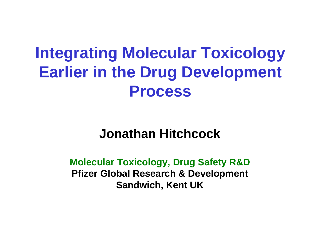# **Integrating Molecular Toxicology Earlier in the Drug Development Process**

# **Jonathan Hitchcock**

**Molecular Toxicology, Drug Safety R&D Pfizer Global Research & Development Sandwich, Kent UK**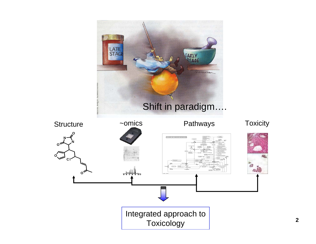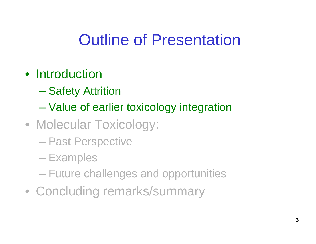# Outline of Presentation

# • Introduction

- –Safety Attrition
- $\mathcal{L}_{\mathcal{A}}$  , the state of the state of the state of the state of the state of the state of the state of the state of the state of the state of the state of the state of the state of the state of the state of the state Value of earlier toxicology integration
- Molecular Toxicology:
	- Past Perspective
	- **Examples**
	- Future challenges and opportunities
- Concluding remarks/summary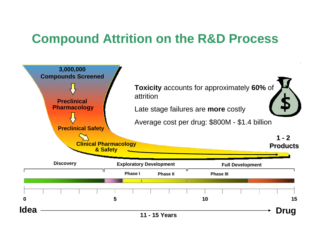# **Compound Attrition on the R&D Process**

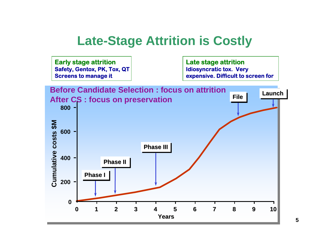# **Late-Stage Attrition is Costly**

**Early stage attrition Safety, Gentox, PK, Tox, QT Screens to manage it**

**Late stage attrition Idiosyncratic tox. Very expensive. Difficult to screen for**

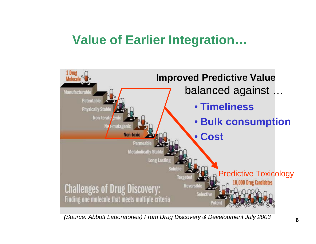# **Value of Earlier Integration…**



*(Source: Abbott Laboratories) From Drug Discovery & Development July 2003*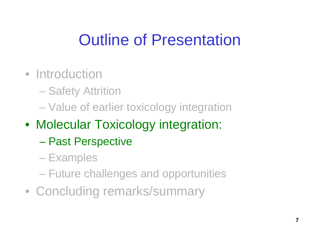# Outline of Presentation

- Introduction
	- Safety Attrition
	- Value of earlier toxicology integration
- Molecular Toxicology integration:
	- –Past Perspective
	- **Examples**
	- Future challenges and opportunities
- Concluding remarks/summary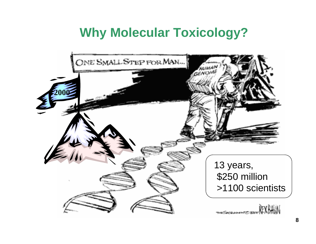# **Why Molecular Toxicology?**

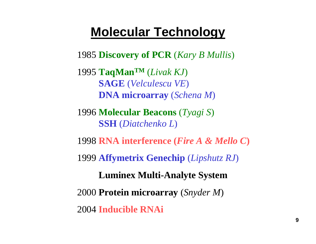### **Molecular Technology**

**Discovery of PCR** (*Kary B Mullis*)

**TaqManTM** (*Livak KJ*) **SAGE** (*Velculescu VE*) **DNA microarray** (*Schena M*)

**Molecular Beacons** (*Tyagi S*) **SSH** (*Diatchenko L*)

**RNA interference (***Fire A & Mello C***)**

**Affymetrix Genechip** (*Lipshutz RJ*)

**Luminex Multi-Analyte System**

**Protein microarray** (*Snyder M*)

**Inducible RNAi**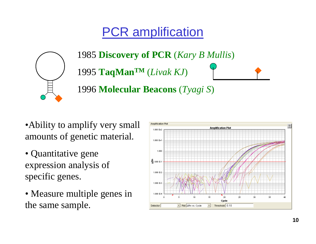# PCR amplification



1985 **Discovery of PCR** (*Kary B Mullis*) 1995 **TaqManTM** (*Livak KJ*) 1996 **Molecular Beacons** (*Tyagi S*)

- Ability to amplify very small amounts of genetic material.
- Quantitative gene expression analysis of specific genes.
- Measure multiple genes in the same sample.

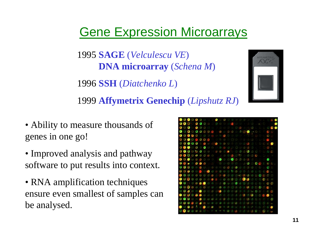# Gene Expression Microarrays

1995 **SAGE** (*Velculescu VE*) **DNA microarray** (*Schena M*)

1996 **SSH** (*Diatchenko L*)

1999 **Affymetrix Genechip** (*Lipshutz RJ*)

- Ability to measure thousands of genes in one go!
- Improved analysis and pathway software to put results into context.
- RNA amplification techniques ensure even smallest of samples can be analysed.

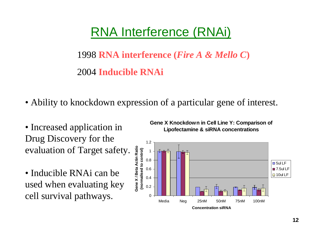# RNA Interference (RNAi)

### 1998 **RNA interference (***Fire A & Mello C***)** 2004 **Inducible RNAi**

- Ability to knockdown expression of a particular gene of interest.
- Increased application in Drug Discovery for the evaluation of Target safety.
- Inducible RNAi can be used when evaluating key cell survival pathways.

**Gene X Knockdown in Cell Line Y: Comparison of Lipofectamine & siRNA concentrations**

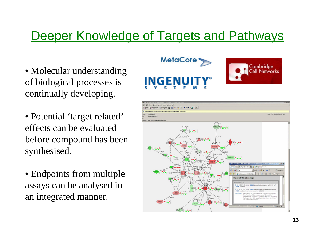# Deeper Knowledge of Targets and Pathways

- Molecular understanding of biological processes is continually developing.
- Potential 'target related' effects can be evaluated before compound has been synthesised.
- Endpoints from multiple assays can be analysed in an integrated manner.



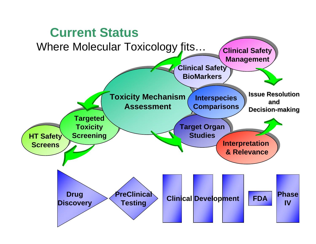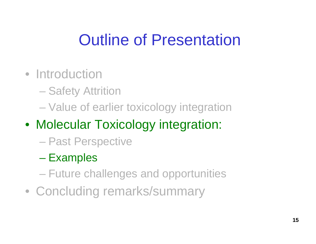# Outline of Presentation

- Introduction
	- Safety Attrition
	- Value of earlier toxicology integration
- Molecular Toxicology integration:
	- Past Perspective
	- $\mathcal{L}_{\mathcal{A}}$  , the state of the state of the state of the state of the state of the state of the state of the state of the state of the state of the state of the state of the state of the state of the state of the state **Examples**
	- Future challenges and opportunities
- Concluding remarks/summary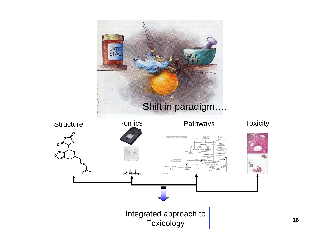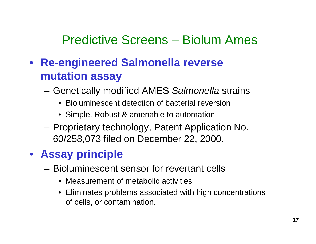# Predictive Screens – Biolum Ames

- • **Re-engineered Salmonella reverse mutation assay**
	- **Links of the Common**  Genetically modified AMES *Salmonella* strains
		- Bioluminescent detection of bacterial reversion
		- Simple, Robust & amenable to automation
	- and the state of the Proprietary technology, Patent Application No. 60/258,073 filed on December 22, 2000.

### • **Assay principle**

- Bioluminescent sensor for revertant cells
	- Measurement of metabolic activities
	- Eliminates problems associated with high concentrations of cells, or contamination.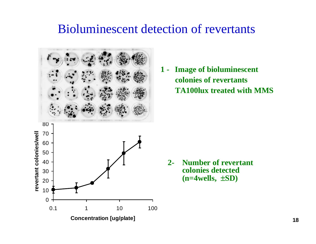#### Bioluminescent detection of revertants

80 revertant colonies/well **revertant colonies/well** 70 60 50 4030 20 1000.1 1 10 100 **Concentration [ug/plate]**

**1 - Image of bioluminescent colonies of revertants TA100lux treated with MMS**

**2- Number of revertant colonies detected (n=4wells,** ±**SD)**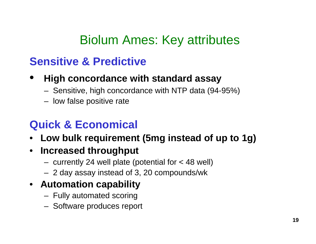# Biolum Ames: Key attributes

### **Sensitive & Predictive**

- • **High concordance with standard assay**
	- –Sensitive, high concordance with NTP data (94-95%)
	- –low false positive rate

### **Quick & Economical**

- **Low bulk requirement (5mg instead of up to 1g)**
- • **Increased throughput**
	- –currently 24 well plate (potential for < 48 well)
	- –2 day assay instead of 3, 20 compounds/wk
- **Automation capability**
	- –Fully automated scoring
	- –Software produces report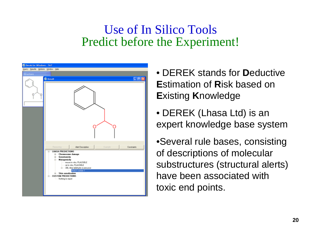#### Use of In Silico Tools Predict before the Experiment!



- DEREK stands for **D**eductive **E**stimation of **R**isk based on **E**xisting **K**nowledge
- DEREK (Lhasa Ltd) is an expert knowledge base system

•Several rule bases, consisting of descriptions of molecular substructures (structural alerts) have been associated with toxic end points.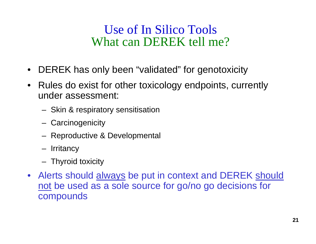### Use of In Silico Tools What can DEREK tell me?

- $\bullet$ DEREK has only been "validated" for genotoxicity
- $\bullet$  Rules do exist for other toxicology endpoints, currently under assessment:
	- Skin & respiratory sensitisation
	- **Carcinogenicity**
	- –Reproductive & Developmental
	- Irritancy
	- Thyroid toxicity
- Alerts should always be put in context and DEREK should not be used as a sole source for go/no go decisions for compounds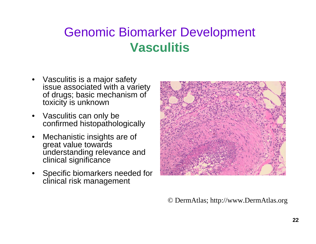# Genomic Biomarker Development **Vasculitis**

- • Vasculitis is a major safety issue associated with a variety of drugs; basic mechanism of toxicity is unknown
- • Vasculitis can only be confirmed histopathologically
- • Mechanistic insights are of great value towards understanding relevance and clinical significance
- • Specific biomarkers needed for clinical risk management



© DermAtlas; http://www.DermAtlas.org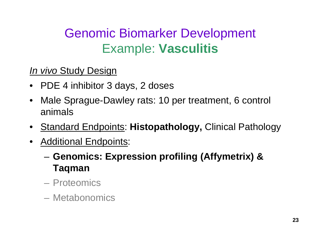# Genomic Biomarker Development Example: **Vasculitis**

#### *In vivo* Study Design

- PDE 4 inhibitor 3 days, 2 doses
- $\bullet$  Male Sprague-Dawley rats: 10 per treatment, 6 control animals
- Standard Endpoints: **Histopathology,** Clinical Pathology
- • Additional Endpoints:
	- **Links of the Common Genomics: Expression profiling (Affymetrix) & Taqman**
	- Proteomics
	- Metabonomics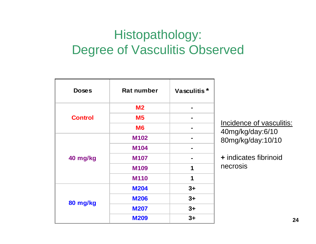# Histopathology: Degree of Vasculitis Observed

| <b>Doses</b>   | <b>Rat number</b> | Vasculitis <sup>*</sup> |
|----------------|-------------------|-------------------------|
| <b>Control</b> | M <sub>2</sub>    |                         |
|                | M <sub>5</sub>    |                         |
|                | <b>M6</b>         |                         |
| 40 mg/kg       | <b>M102</b>       |                         |
|                | <b>M104</b>       |                         |
|                | <b>M107</b>       |                         |
|                | <b>M109</b>       | 1                       |
|                | <b>M110</b>       | 1                       |
| 80 mg/kg       | <b>M204</b>       | $3+$                    |
|                | <b>M206</b>       | $3+$                    |
|                | <b>M207</b>       | $3+$                    |
|                | <b>M209</b>       | $3+$                    |

Incidence of vasculitis: 40mg/kg/day:6/10 80mg/kg/day:10/10

**+** indicates fibrinoid necrosis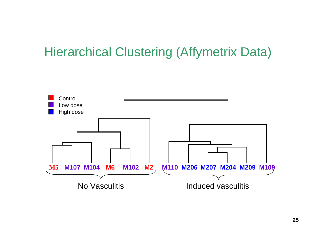### Hierarchical Clustering (Affymetrix Data)

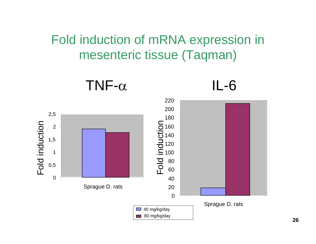# Fold induction of mRNA expression in mesenteric tissue (Taqman)

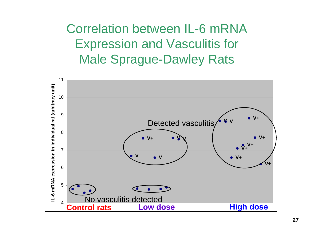Correlation between IL-6 mRNA Expression and Vasculitis for Male Sprague-Dawley Rats

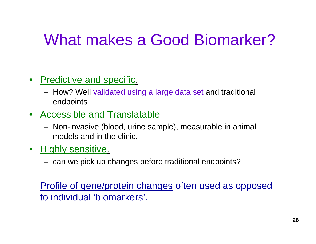# What makes a Good Biomarker?

- Predictive and specific.
	- How? Well <u>validated using a large data set</u> and traditional endpoints
- Accessible and Translatable
	- Non-invasive (blood, urine sample), measurable in animal models and in the clinic.
- $\bullet$  Highly sensitive.
	- can we pick up changes before traditional endpoints?

Profile of gene/protein changes often used as opposed to individual 'biomarkers'.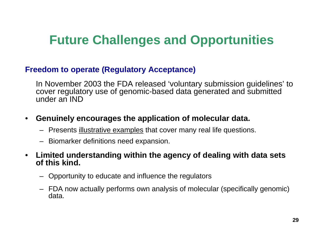# **Future Challenges and Opportunities**

#### **Freedom to operate (Regulatory Acceptance)**

In November 2003 the FDA released 'voluntary submission guidelines' to cover regulatory use of genomic-based data generated and submitted under an IND

#### •**Genuinely encourages the application of molecular data.**

- Presents illustrative examples that cover many real life questions.
- Biomarker definitions need expansion.

#### • **Limited understanding within the agency of dealing with data sets of this kind.**

- Opportunity to educate and influence the regulators
- FDA now actually performs own analysis of molecular (specifically genomic) data.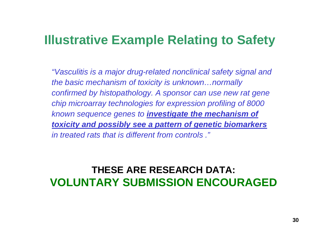# **Illustrative Example Relating to Safety**

*"Vasculitis is a major drug-related nonclinical safety signal and the basic mechanism of toxicity is unknown…normally confirmed by histopathology. A sponsor can use new rat gene chip microarray technologies for expression profiling of 8000 known sequence genes to investigate the mechanism of toxicity and possibly see a pattern of genetic biomarkers in treated rats that is different from controls ."*

#### **THESE ARE RESEARCH DATA: VOLUNTARY SUBMISSION ENCOURAGED**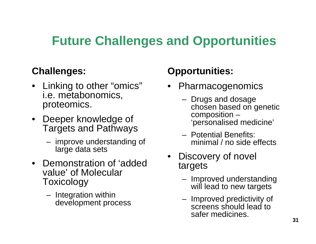# **Future Challenges and Opportunities**

#### **Challenges:**

- Linking to other "omics" i.e. metabonomics, proteomics.
- Deeper knowledge of Targets and Pathways
	- improve understanding of large data sets
- Demonstration of 'added value' of Molecular **Toxicology** 
	- Integration within development process

#### **Opportunities:**

- Pharmacogenomics
	- Drugs and dosage chosen based on genetic composition – 'personalised medicine'
	- Potential Benefits: minimal / no side effects
- Discovery of novel targets
	- – Improved understanding will lead to new targets
	- Improved predictivity of screens should lead to safer medicines.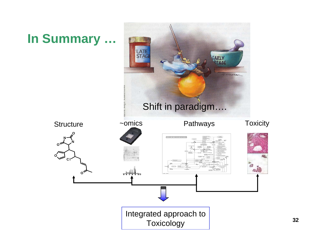# **In Summary …**

**N**

**C l**

**O**

**O**